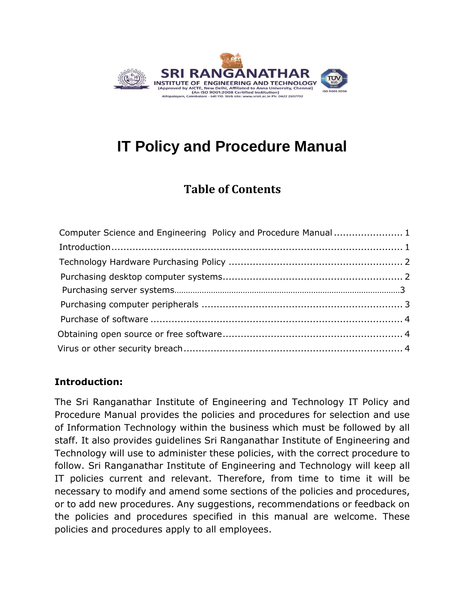

# <span id="page-0-0"></span>**IT Policy and Procedure Manual**

# **Table of Contents**

| Computer Science and Engineering Policy and Procedure Manual 1 |  |
|----------------------------------------------------------------|--|
|                                                                |  |
|                                                                |  |
|                                                                |  |
|                                                                |  |
|                                                                |  |
|                                                                |  |
|                                                                |  |
|                                                                |  |

## **Introduction:**

The Sri Ranganathar Institute of Engineering and Technology IT Policy and Procedure Manual provides the policies and procedures for selection and use of Information Technology within the business which must be followed by all staff. It also provides guidelines Sri Ranganathar Institute of Engineering and Technology will use to administer these policies, with the correct procedure to follow. Sri Ranganathar Institute of Engineering and Technology will keep all IT policies current and relevant. Therefore, from time to time it will be necessary to modify and amend some sections of the policies and procedures, or to add new procedures. Any suggestions, recommendations or feedback on the policies and procedures specified in this manual are welcome. These policies and procedures apply to all employees.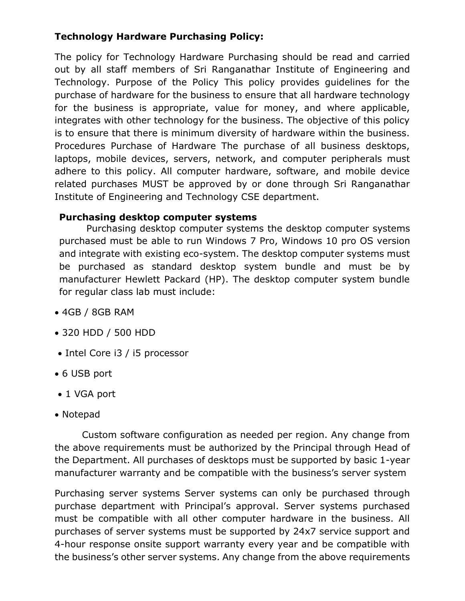## **Technology Hardware Purchasing Policy:**

The policy for Technology Hardware Purchasing should be read and carried out by all staff members of Sri Ranganathar Institute of Engineering and Technology. Purpose of the Policy This policy provides guidelines for the purchase of hardware for the business to ensure that all hardware technology for the business is appropriate, value for money, and where applicable, integrates with other technology for the business. The objective of this policy is to ensure that there is minimum diversity of hardware within the business. Procedures Purchase of Hardware The purchase of all business desktops, laptops, mobile devices, servers, network, and computer peripherals must adhere to this policy. All computer hardware, software, and mobile device related purchases MUST be approved by or done through Sri Ranganathar Institute of Engineering and Technology CSE department.

#### **Purchasing desktop computer systems**

Purchasing desktop computer systems the desktop computer systems purchased must be able to run Windows 7 Pro, Windows 10 pro OS version and integrate with existing eco-system. The desktop computer systems must be purchased as standard desktop system bundle and must be by manufacturer Hewlett Packard (HP). The desktop computer system bundle for regular class lab must include:

- 4GB / 8GB RAM
- 320 HDD / 500 HDD
- Intel Core i3 / i5 processor
- 6 USB port
- 1 VGA port
- Notepad

Custom software configuration as needed per region. Any change from the above requirements must be authorized by the Principal through Head of the Department. All purchases of desktops must be supported by basic 1-year manufacturer warranty and be compatible with the business's server system

Purchasing server systems Server systems can only be purchased through purchase department with Principal's approval. Server systems purchased must be compatible with all other computer hardware in the business. All purchases of server systems must be supported by 24x7 service support and 4-hour response onsite support warranty every year and be compatible with the business's other server systems. Any change from the above requirements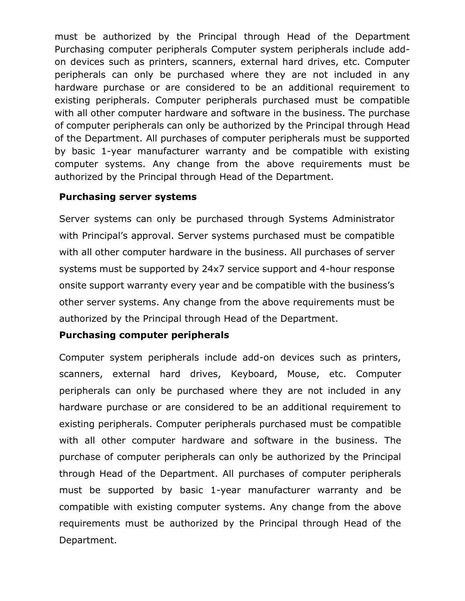must be authorized by the Principal through Head of the Department Purchasing computer peripherals Computer system peripherals include addon devices such as printers, scanners, external hard drives, etc. Computer peripherals can only be purchased where they are not included in any hardware purchase or are considered to be an additional requirement to existing peripherals. Computer peripherals purchased must be compatible with all other computer hardware and software in the business. The purchase of computer peripherals can only be authorized by the Principal through Head of the Department. All purchases of computer peripherals must be supported by basic 1-year manufacturer warranty and be compatible with existing computer systems. Any change from the above requirements must be authorized by the Principal through Head of the Department.

#### **Purchasing server systems**

Server systems can only be purchased through Systems Administrator with Principal's approval. Server systems purchased must be compatible with all other computer hardware in the business. All purchases of server systems must be supported by 24x7 service support and 4-hour response onsite support warranty every year and be compatible with the business's other server systems. Any change from the above requirements must be authorized by the Principal through Head of the Department.

#### **Purchasing computer peripherals**

Computer system peripherals include add-on devices such as printers, scanners, external hard drives, Keyboard, Mouse, etc. Computer peripherals can only be purchased where they are not included in any hardware purchase or are considered to be an additional requirement to existing peripherals. Computer peripherals purchased must be compatible with all other computer hardware and software in the business. The purchase of computer peripherals can only be authorized by the Principal through Head of the Department. All purchases of computer peripherals must be supported by basic 1-year manufacturer warranty and be compatible with existing computer systems. Any change from the above requirements must be authorized by the Principal through Head of the Department.